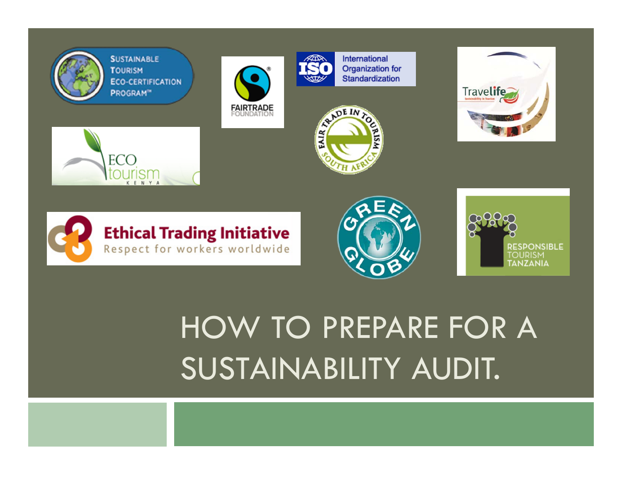

**SUSTAINABLE TOURISM ECO-CERTIFICATION** PROGRAM<sup>®</sup>

**Ethical Trading Initiative** Respect for workers worldwide



International **Organization for** Standardization











## HOW TO PREPARE FOR A SUSTAINABILITY AUDIT.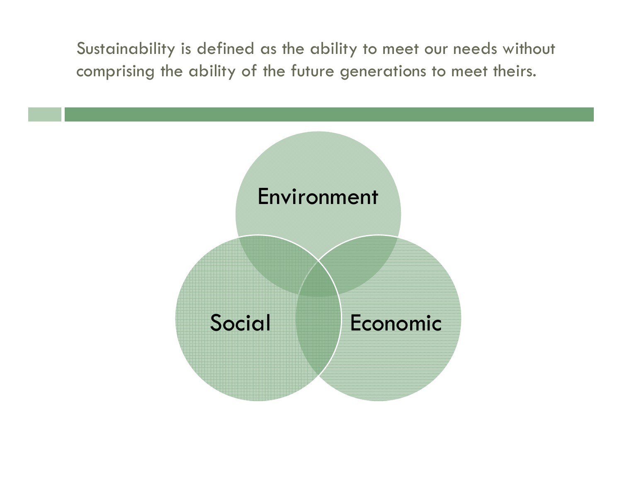Sustainability is defined as the ability to meet our needs without comprising the ability of the future generations to meet theirs.

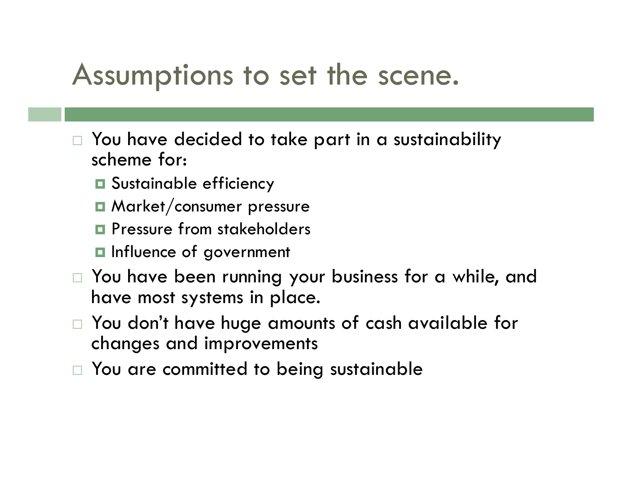#### Assumptions to set the scene.

- $\Box$  You have decided to take part in a sustainability scheme for:
	- **O** Sustainable efficiency
	- **O** Market/consumer pressure
	- **Q** Pressure from stakeholders
	- **Influence of government**
- $\Box$  You have been running your business for a while, and have most systems in place.
- $\Box$  You don't have huge amounts of cash available for changes and improvements
- $\Box$ You are committed to being sustainable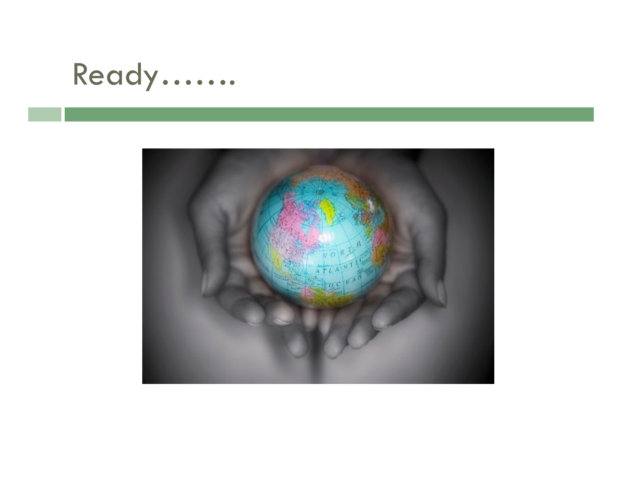### Ready…….

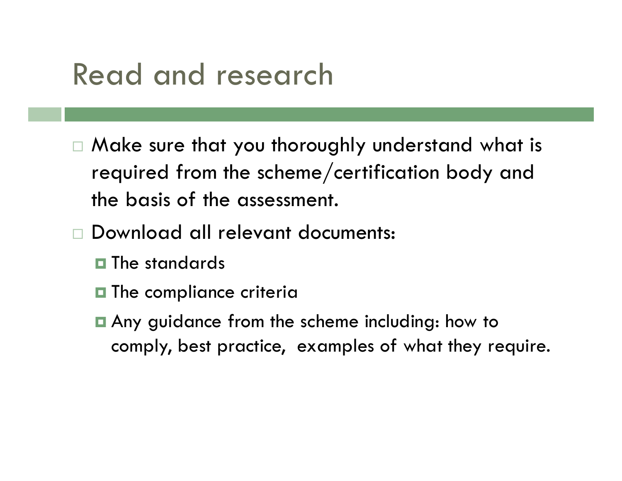### Read and research

- Make sure that you thoroughly understand what is required from the scheme/certification body and the basis of the assessment.
- Download all relevant documents:
	- $\blacksquare$  The standards
	- $\blacksquare$  The compliance criteria
	- Any guidance from the scheme including: how to comply, best practice, examples of what they require.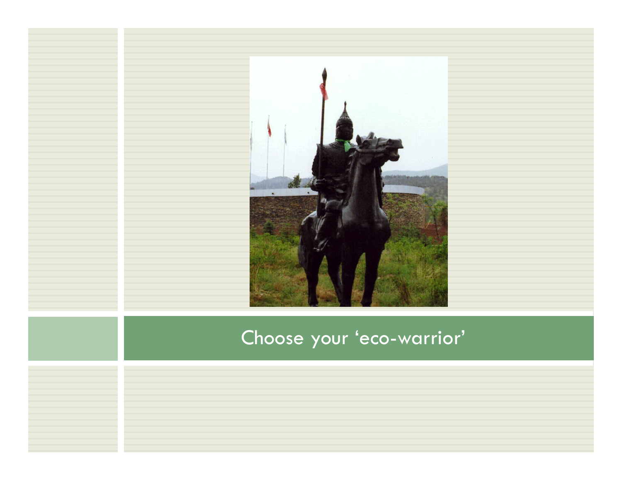

#### Choose your 'eco-warrior'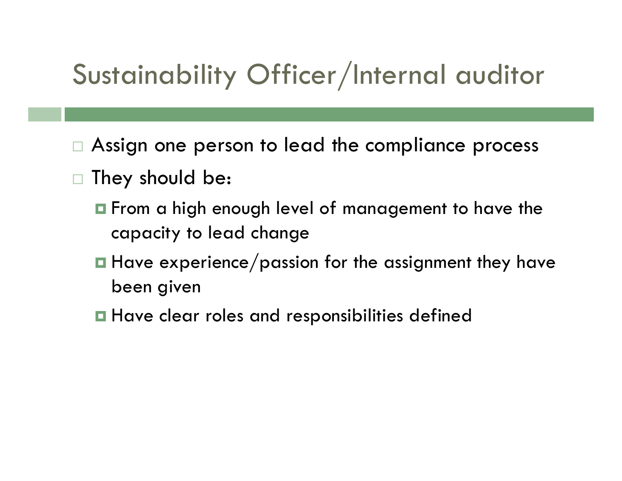### Sustainability Officer/Internal auditor

- $\Box$ Assign one person to lead the compliance process
- $\Box$  They should be:
	- $\blacksquare$  From a high enough level of management to have the capacity to lead change
	- $\blacksquare$  Have experience/passion for the assignment they have been given
	- **Have clear roles and responsibilities defined**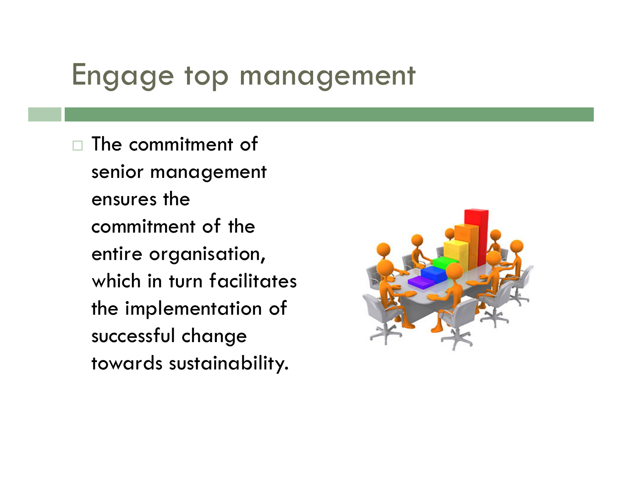### Engage top management

□ The commitment of senior management ensures the commitment of the entire organisation, which in turn facilitates the implementation of successful change towards sustainability.

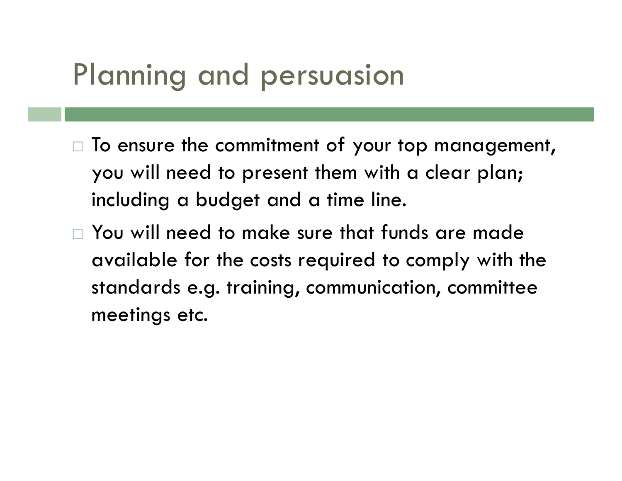### Planning and persuasion

- $\Box$  To ensure the commitment of your top management, you will need to present them with a clear plan; including a budget and a time line.
- $\square$  You will need to make sure that funds are made available for the costs required to comply with the standards e.g. training, communication, committee meetings etc.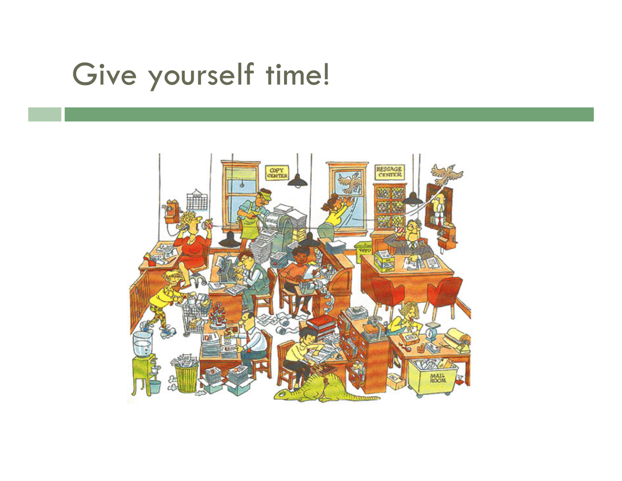### Give yourself time!

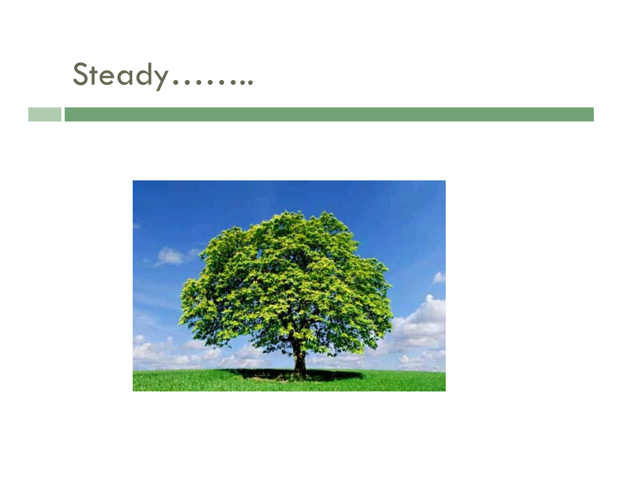### Steady…….

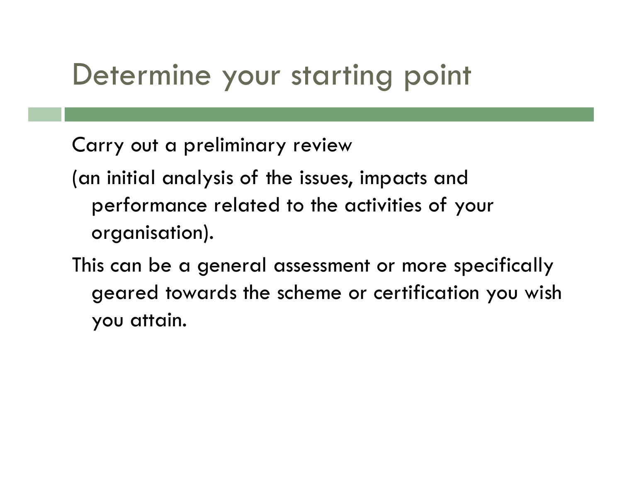### Determine your starting point

Carry out a preliminary review

(an initial analysis of the issues, impacts and performance related to the activities of your organisation).

This can be a general assessment or more specifically geared towards the scheme or certification you wish you attain.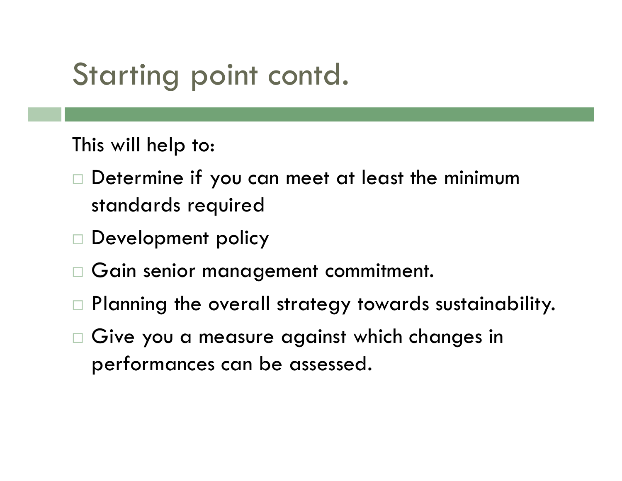### Starting point contd.

This will help to:

- $\Box$  Determine if you can meet at least the minimum standards required
- □ Development policy
- $\Box$ Gain senior management commitment.
- $\Box$ Planning the overall strategy towards sustainability.
- $\Box$  Give you a measure against which changes in performances can be assessed.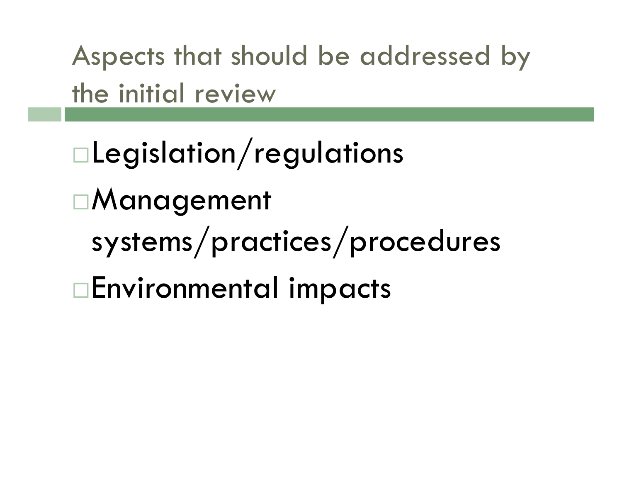Aspects that should be addressed by the initial review

Legislation/regulations Management systems/practices/procedures Environmental impacts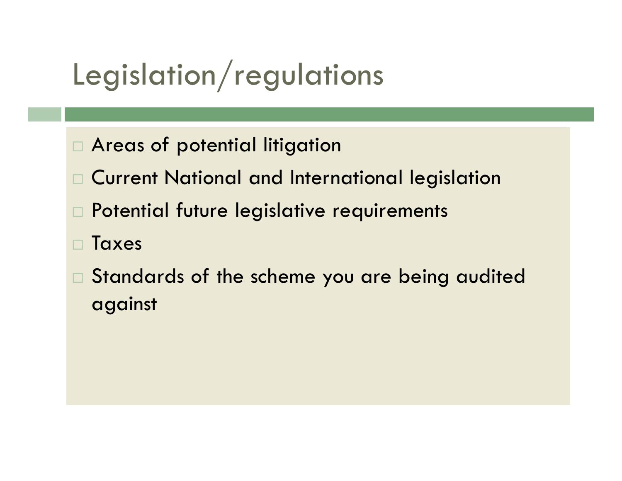### Legislation/regulations

- Areas of potential litigation
- Current National and International legislation
- Potential future legislative requirements
- Taxes
- $\square$  Standards of the scheme you are being audited against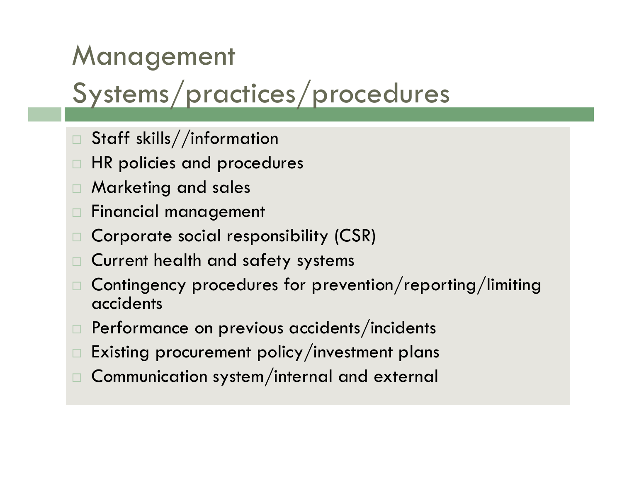# Management

#### Systems/practices/procedures

- $\Box$ Staff skills//information
- $\Box$ HR policies and procedures
- $\Box$ Marketing and sales
- $\Box$ Financial management
- $\Box$ Corporate social responsibility (CSR)
- $\Box$ Current health and safety systems
- Contingency procedures for prevention/reporting/limiting accidents
- $\Box$ Performance on previous accidents/incidents
- $\Box$ Existing procurement policy/investment plans
- Communication system/internal and external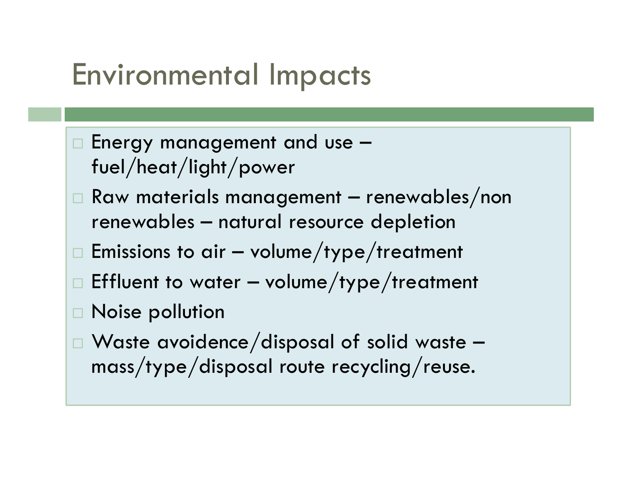### Environmental Impacts

- $\Box$  Energy management and use  $$ fuel/heat/light/power
- $\Box$  Raw materials management renewables/non renewables – natural resource depletion
- $\Box$  Emissions to air volume/type/treatment
- $\Box$  Effluent to water volume/type/treatment
- Noise pollution
- Waste avoidence/disposal of solid waste mass/type/disposal route recycling/reuse.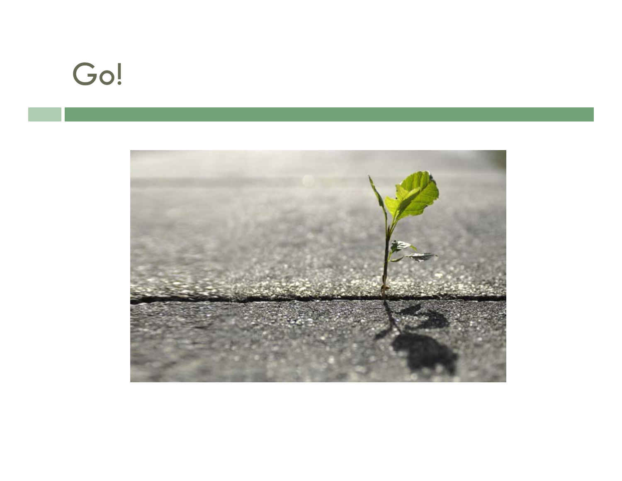### Go!

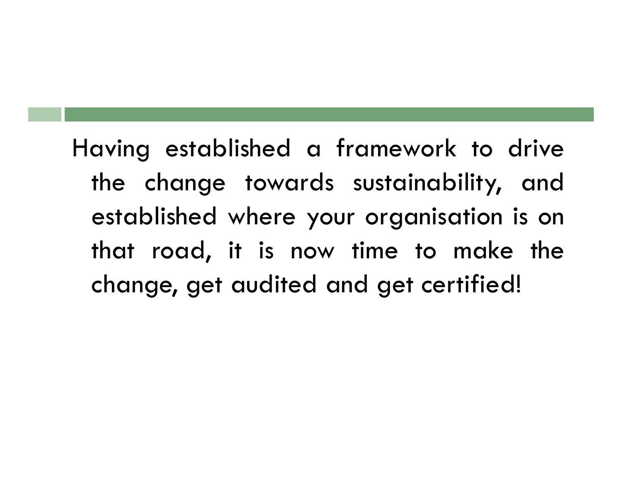Having established <sup>a</sup> framework to drive the change towards sustainability, and established where your organisation is on that road, it is now time to make the change, ge<sup>t</sup> audited and ge<sup>t</sup> certified!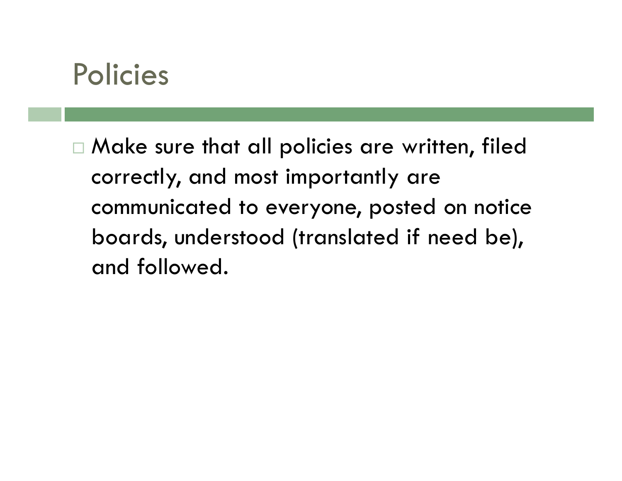

 Make sure that all policies are written, filed correctly, and most importantly are communicated to everyone, posted on notice boards, understood (translated if need be), and followed.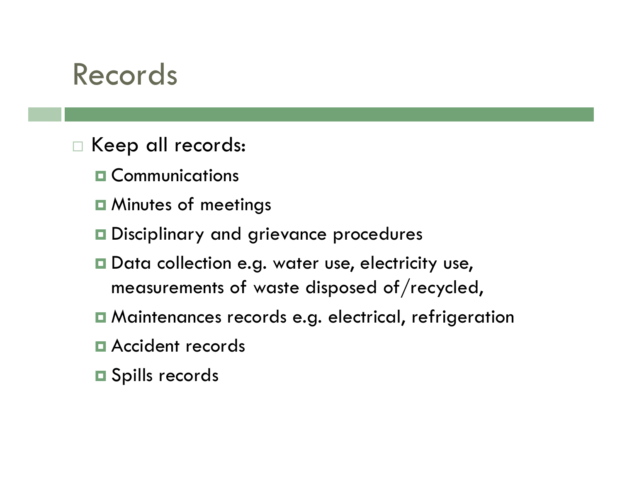#### Records

- Keep all records:
	- **O** Communications
	- **□ Minutes of meetings**
	- $\blacksquare$  Disciplinary and grievance procedures
	- **□** Data collection e.g. water use, electricity use, measurements of waste disposed of/recycled,
	- Maintenances records e.g. electrical, refrigeration
	- **E** Accident records
	- **□** Spills records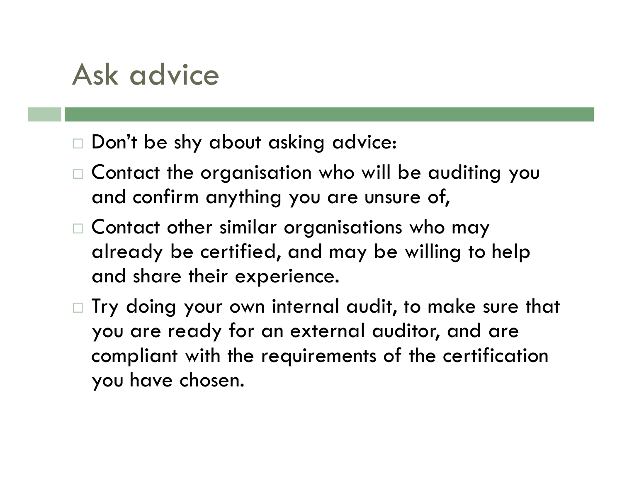### Ask advice

- Don't be shy about asking advice:
- $\Box$  Contact the organisation who will be auditing you and confirm anything you are unsure of,
- $\Box$  Contact other similar organisations who may already be certified, and may be willing to help and share their experience.
- $\Box$  Try doing your own internal audit, to make sure that you are ready for an external auditor, and are compliant with the requirements of the certification you have chosen.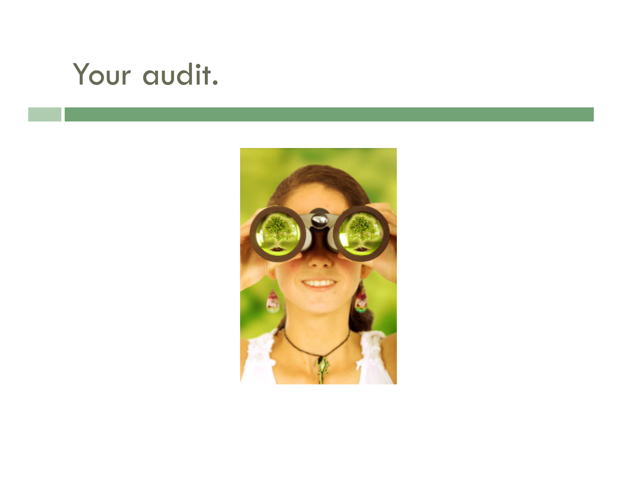### Your audit.

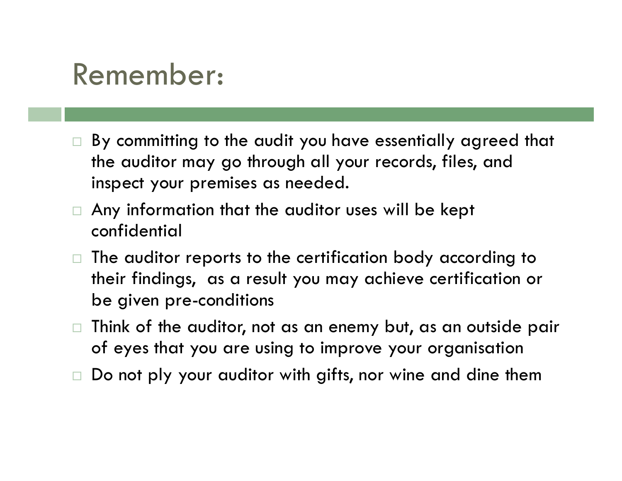### Remember:

- □ By committing to the audit you have essentially agreed that the auditor may go through all your records, files, and inspect your premises as needed.
- □ Any information that the auditor uses will be kept confidential
- $\Box$  The auditor reports to the certification body according to their findings, as a result you may achieve certification or be given pre-conditions
- $\Box$  Think of the auditor, not as an enemy but, as an outside pair of eyes that you are using to improve your organisation
- □ Do not ply your auditor with gifts, nor wine and dine them